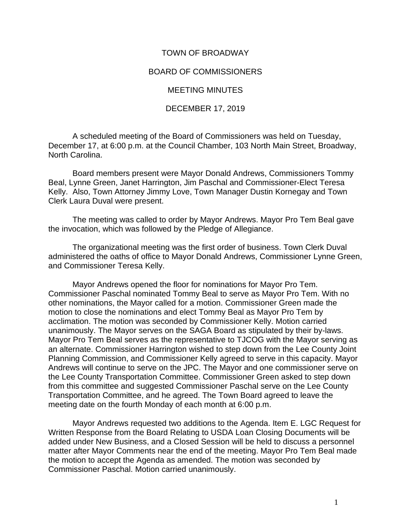## TOWN OF BROADWAY

## BOARD OF COMMISSIONERS

MEETING MINUTES

## DECEMBER 17, 2019

A scheduled meeting of the Board of Commissioners was held on Tuesday, December 17, at 6:00 p.m. at the Council Chamber, 103 North Main Street, Broadway, North Carolina.

Board members present were Mayor Donald Andrews, Commissioners Tommy Beal, Lynne Green, Janet Harrington, Jim Paschal and Commissioner-Elect Teresa Kelly. Also, Town Attorney Jimmy Love, Town Manager Dustin Kornegay and Town Clerk Laura Duval were present.

The meeting was called to order by Mayor Andrews. Mayor Pro Tem Beal gave the invocation, which was followed by the Pledge of Allegiance.

The organizational meeting was the first order of business. Town Clerk Duval administered the oaths of office to Mayor Donald Andrews, Commissioner Lynne Green, and Commissioner Teresa Kelly.

Mayor Andrews opened the floor for nominations for Mayor Pro Tem. Commissioner Paschal nominated Tommy Beal to serve as Mayor Pro Tem. With no other nominations, the Mayor called for a motion. Commissioner Green made the motion to close the nominations and elect Tommy Beal as Mayor Pro Tem by acclimation. The motion was seconded by Commissioner Kelly. Motion carried unanimously. The Mayor serves on the SAGA Board as stipulated by their by-laws. Mayor Pro Tem Beal serves as the representative to TJCOG with the Mayor serving as an alternate. Commissioner Harrington wished to step down from the Lee County Joint Planning Commission, and Commissioner Kelly agreed to serve in this capacity. Mayor Andrews will continue to serve on the JPC. The Mayor and one commissioner serve on the Lee County Transportation Committee. Commissioner Green asked to step down from this committee and suggested Commissioner Paschal serve on the Lee County Transportation Committee, and he agreed. The Town Board agreed to leave the meeting date on the fourth Monday of each month at 6:00 p.m.

Mayor Andrews requested two additions to the Agenda. Item E. LGC Request for Written Response from the Board Relating to USDA Loan Closing Documents will be added under New Business, and a Closed Session will be held to discuss a personnel matter after Mayor Comments near the end of the meeting. Mayor Pro Tem Beal made the motion to accept the Agenda as amended. The motion was seconded by Commissioner Paschal. Motion carried unanimously.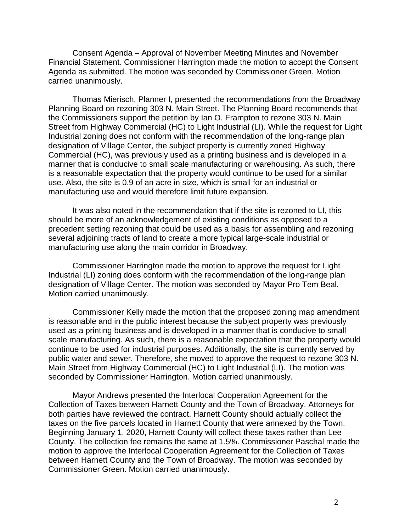Consent Agenda – Approval of November Meeting Minutes and November Financial Statement. Commissioner Harrington made the motion to accept the Consent Agenda as submitted. The motion was seconded by Commissioner Green. Motion carried unanimously.

Thomas Mierisch, Planner I, presented the recommendations from the Broadway Planning Board on rezoning 303 N. Main Street. The Planning Board recommends that the Commissioners support the petition by Ian O. Frampton to rezone 303 N. Main Street from Highway Commercial (HC) to Light Industrial (LI). While the request for Light Industrial zoning does not conform with the recommendation of the long-range plan designation of Village Center, the subject property is currently zoned Highway Commercial (HC), was previously used as a printing business and is developed in a manner that is conducive to small scale manufacturing or warehousing. As such, there is a reasonable expectation that the property would continue to be used for a similar use. Also, the site is 0.9 of an acre in size, which is small for an industrial or manufacturing use and would therefore limit future expansion.

It was also noted in the recommendation that if the site is rezoned to LI, this should be more of an acknowledgement of existing conditions as opposed to a precedent setting rezoning that could be used as a basis for assembling and rezoning several adjoining tracts of land to create a more typical large-scale industrial or manufacturing use along the main corridor in Broadway.

Commissioner Harrington made the motion to approve the request for Light Industrial (LI) zoning does conform with the recommendation of the long-range plan designation of Village Center. The motion was seconded by Mayor Pro Tem Beal. Motion carried unanimously.

Commissioner Kelly made the motion that the proposed zoning map amendment is reasonable and in the public interest because the subject property was previously used as a printing business and is developed in a manner that is conducive to small scale manufacturing. As such, there is a reasonable expectation that the property would continue to be used for industrial purposes. Additionally, the site is currently served by public water and sewer. Therefore, she moved to approve the request to rezone 303 N. Main Street from Highway Commercial (HC) to Light Industrial (LI). The motion was seconded by Commissioner Harrington. Motion carried unanimously.

Mayor Andrews presented the Interlocal Cooperation Agreement for the Collection of Taxes between Harnett County and the Town of Broadway. Attorneys for both parties have reviewed the contract. Harnett County should actually collect the taxes on the five parcels located in Harnett County that were annexed by the Town. Beginning January 1, 2020, Harnett County will collect these taxes rather than Lee County. The collection fee remains the same at 1.5%. Commissioner Paschal made the motion to approve the Interlocal Cooperation Agreement for the Collection of Taxes between Harnett County and the Town of Broadway. The motion was seconded by Commissioner Green. Motion carried unanimously.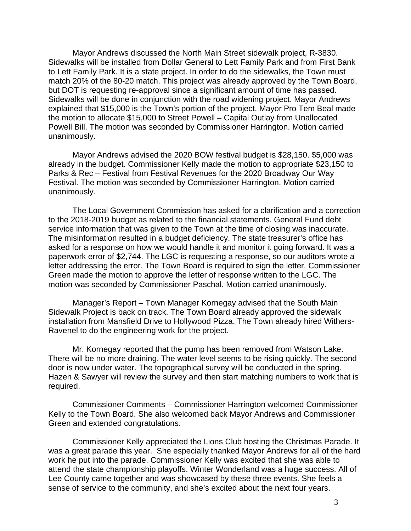Mayor Andrews discussed the North Main Street sidewalk project, R-3830. Sidewalks will be installed from Dollar General to Lett Family Park and from First Bank to Lett Family Park. It is a state project. In order to do the sidewalks, the Town must match 20% of the 80-20 match. This project was already approved by the Town Board, but DOT is requesting re-approval since a significant amount of time has passed. Sidewalks will be done in conjunction with the road widening project. Mayor Andrews explained that \$15,000 is the Town's portion of the project. Mayor Pro Tem Beal made the motion to allocate \$15,000 to Street Powell – Capital Outlay from Unallocated Powell Bill. The motion was seconded by Commissioner Harrington. Motion carried unanimously.

Mayor Andrews advised the 2020 BOW festival budget is \$28,150. \$5,000 was already in the budget. Commissioner Kelly made the motion to appropriate \$23,150 to Parks & Rec – Festival from Festival Revenues for the 2020 Broadway Our Way Festival. The motion was seconded by Commissioner Harrington. Motion carried unanimously.

The Local Government Commission has asked for a clarification and a correction to the 2018-2019 budget as related to the financial statements. General Fund debt service information that was given to the Town at the time of closing was inaccurate. The misinformation resulted in a budget deficiency. The state treasurer's office has asked for a response on how we would handle it and monitor it going forward. It was a paperwork error of \$2,744. The LGC is requesting a response, so our auditors wrote a letter addressing the error. The Town Board is required to sign the letter. Commissioner Green made the motion to approve the letter of response written to the LGC. The motion was seconded by Commissioner Paschal. Motion carried unanimously.

Manager's Report – Town Manager Kornegay advised that the South Main Sidewalk Project is back on track. The Town Board already approved the sidewalk installation from Mansfield Drive to Hollywood Pizza. The Town already hired Withers-Ravenel to do the engineering work for the project.

Mr. Kornegay reported that the pump has been removed from Watson Lake. There will be no more draining. The water level seems to be rising quickly. The second door is now under water. The topographical survey will be conducted in the spring. Hazen & Sawyer will review the survey and then start matching numbers to work that is required.

Commissioner Comments – Commissioner Harrington welcomed Commissioner Kelly to the Town Board. She also welcomed back Mayor Andrews and Commissioner Green and extended congratulations.

Commissioner Kelly appreciated the Lions Club hosting the Christmas Parade. It was a great parade this year. She especially thanked Mayor Andrews for all of the hard work he put into the parade. Commissioner Kelly was excited that she was able to attend the state championship playoffs. Winter Wonderland was a huge success. All of Lee County came together and was showcased by these three events. She feels a sense of service to the community, and she's excited about the next four years.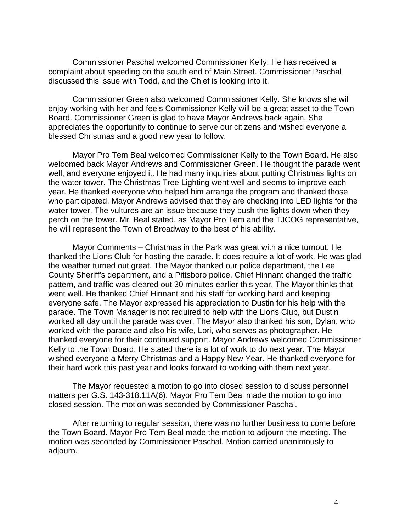Commissioner Paschal welcomed Commissioner Kelly. He has received a complaint about speeding on the south end of Main Street. Commissioner Paschal discussed this issue with Todd, and the Chief is looking into it.

Commissioner Green also welcomed Commissioner Kelly. She knows she will enjoy working with her and feels Commissioner Kelly will be a great asset to the Town Board. Commissioner Green is glad to have Mayor Andrews back again. She appreciates the opportunity to continue to serve our citizens and wished everyone a blessed Christmas and a good new year to follow.

Mayor Pro Tem Beal welcomed Commissioner Kelly to the Town Board. He also welcomed back Mayor Andrews and Commissioner Green. He thought the parade went well, and everyone enjoyed it. He had many inquiries about putting Christmas lights on the water tower. The Christmas Tree Lighting went well and seems to improve each year. He thanked everyone who helped him arrange the program and thanked those who participated. Mayor Andrews advised that they are checking into LED lights for the water tower. The vultures are an issue because they push the lights down when they perch on the tower. Mr. Beal stated, as Mayor Pro Tem and the TJCOG representative, he will represent the Town of Broadway to the best of his ability.

Mayor Comments – Christmas in the Park was great with a nice turnout. He thanked the Lions Club for hosting the parade. It does require a lot of work. He was glad the weather turned out great. The Mayor thanked our police department, the Lee County Sheriff's department, and a Pittsboro police. Chief Hinnant changed the traffic pattern, and traffic was cleared out 30 minutes earlier this year. The Mayor thinks that went well. He thanked Chief Hinnant and his staff for working hard and keeping everyone safe. The Mayor expressed his appreciation to Dustin for his help with the parade. The Town Manager is not required to help with the Lions Club, but Dustin worked all day until the parade was over. The Mayor also thanked his son, Dylan, who worked with the parade and also his wife, Lori, who serves as photographer. He thanked everyone for their continued support. Mayor Andrews welcomed Commissioner Kelly to the Town Board. He stated there is a lot of work to do next year. The Mayor wished everyone a Merry Christmas and a Happy New Year. He thanked everyone for their hard work this past year and looks forward to working with them next year.

The Mayor requested a motion to go into closed session to discuss personnel matters per G.S. 143-318.11A(6). Mayor Pro Tem Beal made the motion to go into closed session. The motion was seconded by Commissioner Paschal.

After returning to regular session, there was no further business to come before the Town Board. Mayor Pro Tem Beal made the motion to adjourn the meeting. The motion was seconded by Commissioner Paschal. Motion carried unanimously to adjourn.